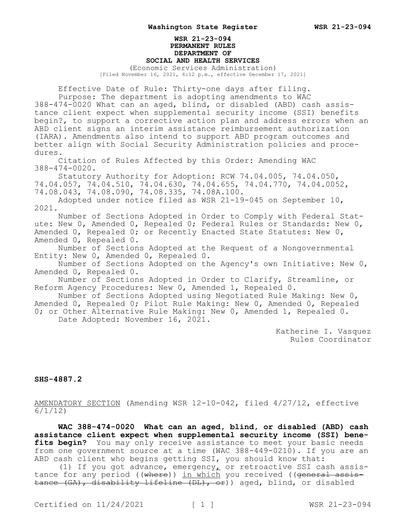## **WSR 21-23-094 PERMANENT RULES DEPARTMENT OF SOCIAL AND HEALTH SERVICES**

(Economic Services Administration) [Filed November 16, 2021, 6:12 p.m., effective December 17, 2021]

Effective Date of Rule: Thirty-one days after filing. Purpose: The department is adopting amendments to WAC 388-474-0020 What can an aged, blind, or disabled (ABD) cash assistance client expect when supplemental security income (SSI) benefits begin?, to support a corrective action plan and address errors when an ABD client signs an interim assistance reimbursement authorization (IARA). Amendments also intend to support ABD program outcomes and better align with Social Security Administration policies and procedures.

Citation of Rules Affected by this Order: Amending WAC 388-474-0020.

Statutory Authority for Adoption: RCW 74.04.005, 74.04.050, 74.04.057, 74.04.510, 74.04.630, 74.04.655, 74.04.770, 74.04.0052, 74.08.043, 74.08.090, 74.08.335, 74.08A.100.

Adopted under notice filed as WSR 21-19-045 on September 10, 2021.

Number of Sections Adopted in Order to Comply with Federal Statute: New 0, Amended 0, Repealed 0; Federal Rules or Standards: New 0, Amended 0, Repealed 0; or Recently Enacted State Statutes: New 0, Amended 0, Repealed 0.

Number of Sections Adopted at the Request of a Nongovernmental Entity: New 0, Amended 0, Repealed 0.

Number of Sections Adopted on the Agency's own Initiative: New 0, Amended 0, Repealed 0.

Number of Sections Adopted in Order to Clarify, Streamline, or Reform Agency Procedures: New 0, Amended 1, Repealed 0.

Number of Sections Adopted using Negotiated Rule Making: New 0, Amended 0, Repealed 0; Pilot Rule Making: New 0, Amended 0, Repealed 0; or Other Alternative Rule Making: New 0, Amended 1, Repealed 0. Date Adopted: November 16, 2021.

> Katherine I. Vasquez Rules Coordinator

## **SHS-4887.2**

AMENDATORY SECTION (Amending WSR 12-10-042, filed 4/27/12, effective 6/1/12)

**WAC 388-474-0020 What can an aged, blind, or disabled (ABD) cash assistance client expect when supplemental security income (SSI) bene**fits begin? You may only receive assistance to meet your basic needs from one government source at a time (WAC 388-449-0210). If you are an ABD cash client who begins getting SSI, you should know that:

(1) If you got advance, emergency, or retroactive SSI cash assistance for any period ((where)) in which you received ((general assistance (GA), disability lifeline (DL), or)) aged, blind, or disabled